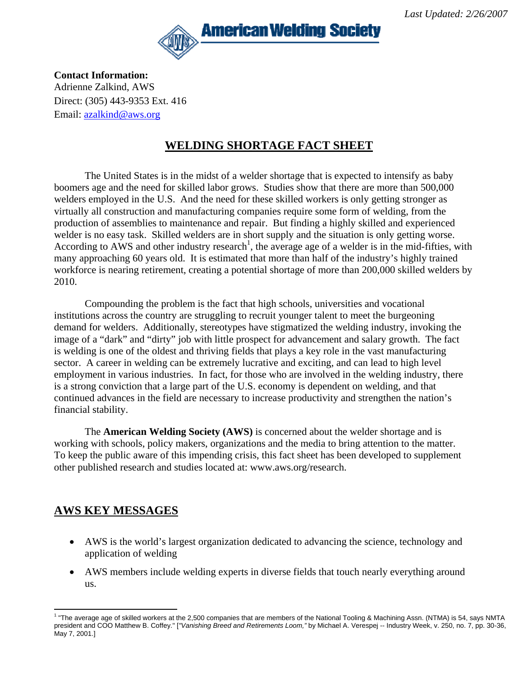

**Contact Information:**  Adrienne Zalkind, AWS Direct: (305) 443-9353 Ext. 416 Email: [azalkind@aws.org](mailto:azalkind@aws.org)

#### **WELDING SHORTAGE FACT SHEET**

The United States is in the midst of a welder shortage that is expected to intensify as baby boomers age and the need for skilled labor grows. Studies show that there are more than 500,000 welders employed in the U.S. And the need for these skilled workers is only getting stronger as virtually all construction and manufacturing companies require some form of welding, from the production of assemblies to maintenance and repair. But finding a highly skilled and experienced welder is no easy task. Skilled welders are in short supply and the situation is only getting worse. According to AWS and other industry research<sup>1</sup>, the average age of a welder is in the mid-fifties, with many approaching 60 years old. It is estimated that more than half of the industry's highly trained workforce is nearing retirement, creating a potential shortage of more than 200,000 skilled welders by 2010.

Compounding the problem is the fact that high schools, universities and vocational institutions across the country are struggling to recruit younger talent to meet the burgeoning demand for welders. Additionally, stereotypes have stigmatized the welding industry, invoking the image of a "dark" and "dirty" job with little prospect for advancement and salary growth. The fact is welding is one of the oldest and thriving fields that plays a key role in the vast manufacturing sector. A career in welding can be extremely lucrative and exciting, and can lead to high level employment in various industries. In fact, for those who are involved in the welding industry, there is a strong conviction that a large part of the U.S. economy is dependent on welding, and that continued advances in the field are necessary to increase productivity and strengthen the nation's financial stability.

The **American Welding Society (AWS)** is concerned about the welder shortage and is working with schools, policy makers, organizations and the media to bring attention to the matter. To keep the public aware of this impending crisis, this fact sheet has been developed to supplement other published research and studies located at: www.aws.org/research.

## **AWS KEY MESSAGES**

- AWS is the world's largest organization dedicated to advancing the science, technology and application of welding
- AWS members include welding experts in diverse fields that touch nearly everything around us.

<span id="page-0-0"></span><sup>1</sup> <sup>1</sup> "The average age of skilled workers at the 2,500 companies that are members of the National Tooling & Machining Assn. (NTMA) is 54, says NMTA president and COO Matthew B. Coffey." [*"Vanishing Breed and Retirements Loom,"* by Michael A. Verespej -- Industry Week, v. 250, no. 7, pp. 30-36, May 7, 2001.]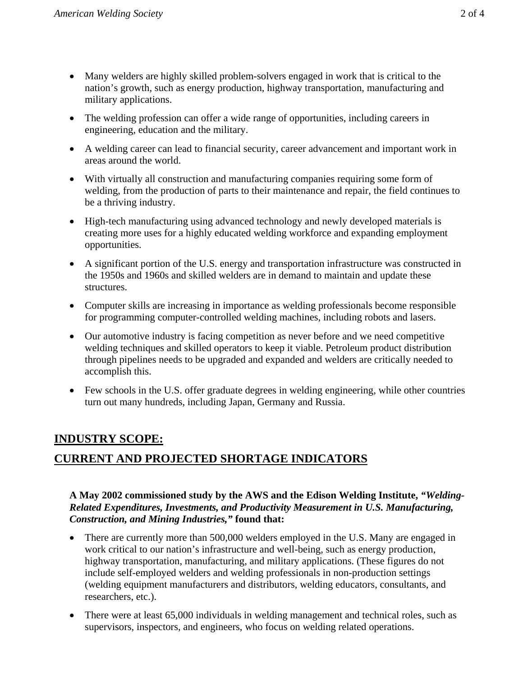- Many welders are highly skilled problem-solvers engaged in work that is critical to the nation's growth, such as energy production, highway transportation, manufacturing and military applications.
- The welding profession can offer a wide range of opportunities, including careers in engineering, education and the military.
- A welding career can lead to financial security, career advancement and important work in areas around the world.
- With virtually all construction and manufacturing companies requiring some form of welding, from the production of parts to their maintenance and repair, the field continues to be a thriving industry.
- High-tech manufacturing using advanced technology and newly developed materials is creating more uses for a highly educated welding workforce and expanding employment opportunities.
- A significant portion of the U.S. energy and transportation infrastructure was constructed in the 1950s and 1960s and skilled welders are in demand to maintain and update these structures.
- Computer skills are increasing in importance as welding professionals become responsible for programming computer-controlled welding machines, including robots and lasers.
- Our automotive industry is facing competition as never before and we need competitive welding techniques and skilled operators to keep it viable. Petroleum product distribution through pipelines needs to be upgraded and expanded and welders are critically needed to accomplish this.
- Few schools in the U.S. offer graduate degrees in welding engineering, while other countries turn out many hundreds, including Japan, Germany and Russia.

#### **INDUSTRY SCOPE:**

## **CURRENT AND PROJECTED SHORTAGE INDICATORS**

#### **A May 2002 commissioned study by the AWS and the Edison Welding Institute,** *"Welding-Related Expenditures, Investments, and Productivity Measurement in U.S. Manufacturing, Construction, and Mining Industries,"* **found that:**

- There are currently more than 500,000 welders employed in the U.S. Many are engaged in work critical to our nation's infrastructure and well-being, such as energy production, highway transportation, manufacturing, and military applications. (These figures do not include self-employed welders and welding professionals in non-production settings (welding equipment manufacturers and distributors, welding educators, consultants, and researchers, etc.).
- There were at least 65,000 individuals in welding management and technical roles, such as supervisors, inspectors, and engineers, who focus on welding related operations.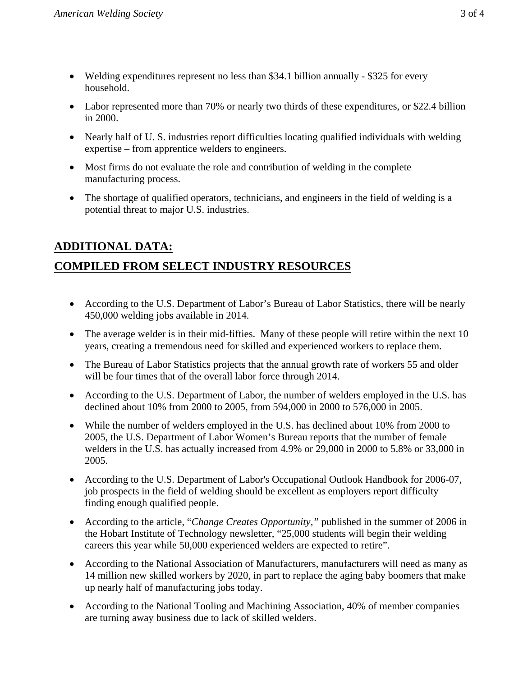- Welding expenditures represent no less than \$34.1 billion annually \$325 for every household.
- Labor represented more than 70% or nearly two thirds of these expenditures, or \$22.4 billion in 2000.
- Nearly half of U.S. industries report difficulties locating qualified individuals with welding expertise – from apprentice welders to engineers.
- Most firms do not evaluate the role and contribution of welding in the complete manufacturing process.
- The shortage of qualified operators, technicians, and engineers in the field of welding is a potential threat to major U.S. industries.

# **ADDITIONAL DATA: COMPILED FROM SELECT INDUSTRY RESOURCES**

- According to the U.S. Department of Labor's Bureau of Labor Statistics, there will be nearly 450,000 welding jobs available in 2014.
- The average welder is in their mid-fifties. Many of these people will retire within the next 10 years, creating a tremendous need for skilled and experienced workers to replace them.
- The Bureau of Labor Statistics projects that the annual growth rate of workers 55 and older will be four times that of the overall labor force through 2014.
- According to the U.S. Department of Labor, the number of welders employed in the U.S. has declined about 10% from 2000 to 2005, from 594,000 in 2000 to 576,000 in 2005.
- While the number of welders employed in the U.S. has declined about 10% from 2000 to 2005, the U.S. Department of Labor Women's Bureau reports that the number of female welders in the U.S. has actually increased from 4.9% or 29,000 in 2000 to 5.8% or 33,000 in 2005.
- According to the U.S. Department of Labor's Occupational Outlook Handbook for 2006-07, job prospects in the field of welding should be excellent as employers report difficulty finding enough qualified people.
- According to the article, "*Change Creates Opportunity,"* published in the summer of 2006 in the Hobart Institute of Technology newsletter, "25,000 students will begin their welding careers this year while 50,000 experienced welders are expected to retire".
- According to the National Association of Manufacturers, manufacturers will need as many as 14 million new skilled workers by 2020, in part to replace the aging baby boomers that make up nearly half of manufacturing jobs today.
- According to the National Tooling and Machining Association, 40% of member companies are turning away business due to lack of skilled welders.